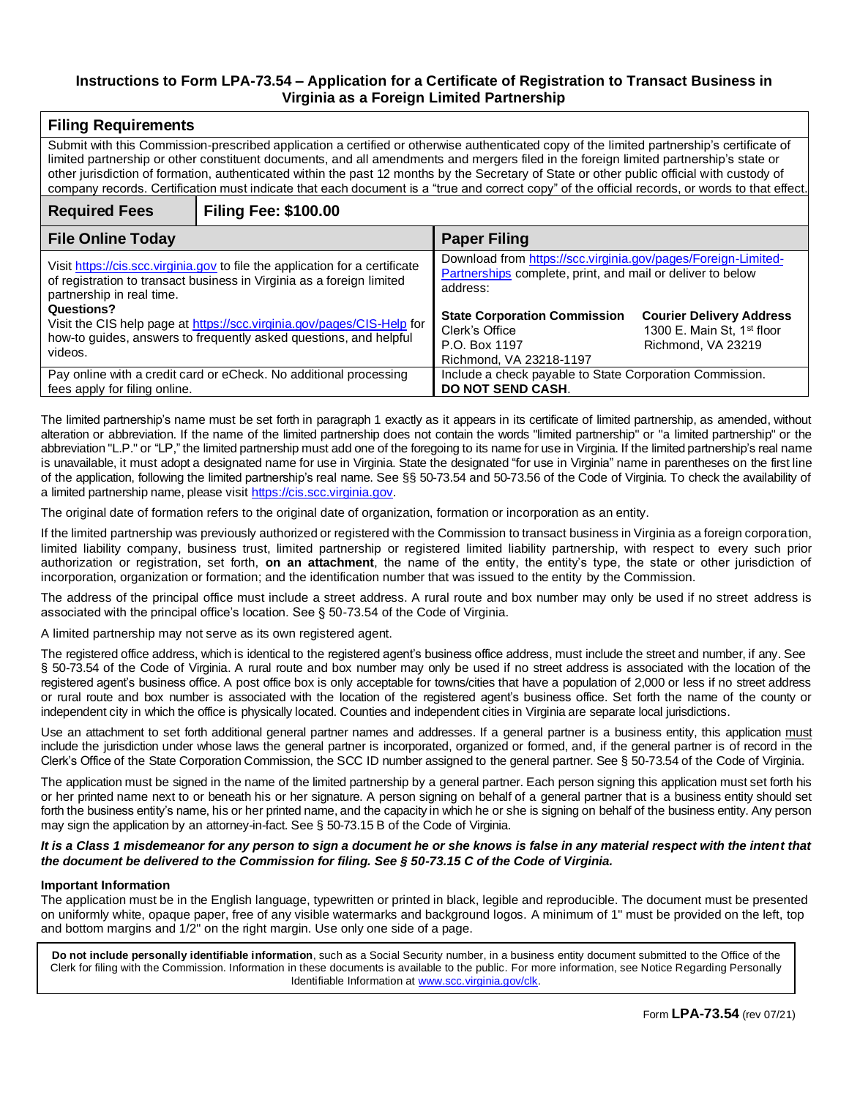### **Instructions to Form LPA-73.54 – Application for a Certificate of Registration to Transact Business in Virginia as a Foreign Limited Partnership**

| <b>Filing Requirements</b>                                                                                                                                                                                                                                                                                                                                                                                                                                                                                                                                                            |                             |                                                                                                                                         |                                                                                                 |  |  |
|---------------------------------------------------------------------------------------------------------------------------------------------------------------------------------------------------------------------------------------------------------------------------------------------------------------------------------------------------------------------------------------------------------------------------------------------------------------------------------------------------------------------------------------------------------------------------------------|-----------------------------|-----------------------------------------------------------------------------------------------------------------------------------------|-------------------------------------------------------------------------------------------------|--|--|
| Submit with this Commission-prescribed application a certified or otherwise authenticated copy of the limited partnership's certificate of<br>limited partnership or other constituent documents, and all amendments and mergers filed in the foreign limited partnership's state or<br>other jurisdiction of formation, authenticated within the past 12 months by the Secretary of State or other public official with custody of<br>company records. Certification must indicate that each document is a "true and correct copy" of the official records, or words to that effect. |                             |                                                                                                                                         |                                                                                                 |  |  |
| <b>Required Fees</b>                                                                                                                                                                                                                                                                                                                                                                                                                                                                                                                                                                  | <b>Filing Fee: \$100.00</b> |                                                                                                                                         |                                                                                                 |  |  |
| <b>File Online Today</b>                                                                                                                                                                                                                                                                                                                                                                                                                                                                                                                                                              |                             | <b>Paper Filing</b>                                                                                                                     |                                                                                                 |  |  |
| Visit https://cis.scc.virginia.gov to file the application for a certificate<br>of registration to transact business in Virginia as a foreign limited<br>partnership in real time.                                                                                                                                                                                                                                                                                                                                                                                                    |                             | Download from https://scc.virginia.gov/pages/Foreign-Limited-<br>Partnerships complete, print, and mail or deliver to below<br>address: |                                                                                                 |  |  |
| Questions?<br>Visit the CIS help page at https://scc.virginia.gov/pages/CIS-Help for<br>how-to guides, answers to frequently asked questions, and helpful<br>videos.                                                                                                                                                                                                                                                                                                                                                                                                                  |                             | <b>State Corporation Commission</b><br>Clerk's Office<br>P.O. Box 1197<br>Richmond, VA 23218-1197                                       | <b>Courier Delivery Address</b><br>1300 E. Main St, 1 <sup>st</sup> floor<br>Richmond, VA 23219 |  |  |
| Pay online with a credit card or eCheck. No additional processing<br>fees apply for filing online.                                                                                                                                                                                                                                                                                                                                                                                                                                                                                    |                             | Include a check payable to State Corporation Commission.<br><b>DO NOT SEND CASH.</b>                                                    |                                                                                                 |  |  |

The limited partnership's name must be set forth in paragraph 1 exactly as it appears in its certificate of limited partnership, as amended, without alteration or abbreviation. If the name of the limited partnership does not contain the words "limited partnership" or "a limited partnership" or the abbreviation "L.P." or "LP," the limited partnership must add one of the foregoing to its name for use in Virginia. If the limited partnership's real name is unavailable, it must adopt a designated name for use in Virginia. State the designated "for use in Virginia" name in parentheses on the first line of the application, following the limited partnership's real name. See §§ 50-73.54 and 50-73.56 of the Code of Virginia. To check the availability of a limited partnership name, please visit [https://cis.scc.virginia.gov.](https://cis.scc.virginia.gov/)

The original date of formation refers to the original date of organization, formation or incorporation as an entity.

If the limited partnership was previously authorized or registered with the Commission to transact business in Virginia as a foreign corporation, limited liability company, business trust, limited partnership or registered limited liability partnership, with respect to every such prior authorization or registration, set forth, **on an attachment**, the name of the entity, the entity's type, the state or other jurisdiction of incorporation, organization or formation; and the identification number that was issued to the entity by the Commission.

The address of the principal office must include a street address. A rural route and box number may only be used if no street address is associated with the principal office's location. See § 50-73.54 of the Code of Virginia.

A limited partnership may not serve as its own registered agent.

The registered office address, which is identical to the registered agent's business office address, must include the street and number, if any. See § 50-73.54 of the Code of Virginia. A rural route and box number may only be used if no street address is associated with the location of the registered agent's business office. A post office box is only acceptable for towns/cities that have a population of 2,000 or less if no street address or rural route and box number is associated with the location of the registered agent's business office. Set forth the name of the county or independent city in which the office is physically located. Counties and independent cities in Virginia are separate local jurisdictions.

Use an attachment to set forth additional general partner names and addresses. If a general partner is a business entity, this application must include the jurisdiction under whose laws the general partner is incorporated, organized or formed, and, if the general partner is of record in the Clerk's Office of the State Corporation Commission, the SCC ID number assigned to the general partner. See § 50-73.54 of the Code of Virginia.

The application must be signed in the name of the limited partnership by a general partner. Each person signing this application must set forth his or her printed name next to or beneath his or her signature. A person signing on behalf of a general partner that is a business entity should set forth the business entity's name, his or her printed name, and the capacity in which he or she is signing on behalf of the business entity. Any person may sign the application by an attorney-in-fact. See § 50-73.15 B of the Code of Virginia.

### *It is a Class 1 misdemeanor for any person to sign a document he or she knows is false in any material respect with the intent that the document be delivered to the Commission for filing. See § 50-73.15 C of the Code of Virginia.*

### **Important Information**

The application must be in the English language, typewritten or printed in black, legible and reproducible. The document must be presented on uniformly white, opaque paper, free of any visible watermarks and background logos. A minimum of 1" must be provided on the left, top and bottom margins and 1/2" on the right margin. Use only one side of a page.

**Do not include personally identifiable information**, such as a Social Security number, in a business entity document submitted to the Office of the Clerk for filing with the Commission. Information in these documents is available to the public. For more information, see Notice Regarding Personally Identifiable Information at [www.scc.virginia.gov/clk.](http://www.scc.virginia.gov/clk)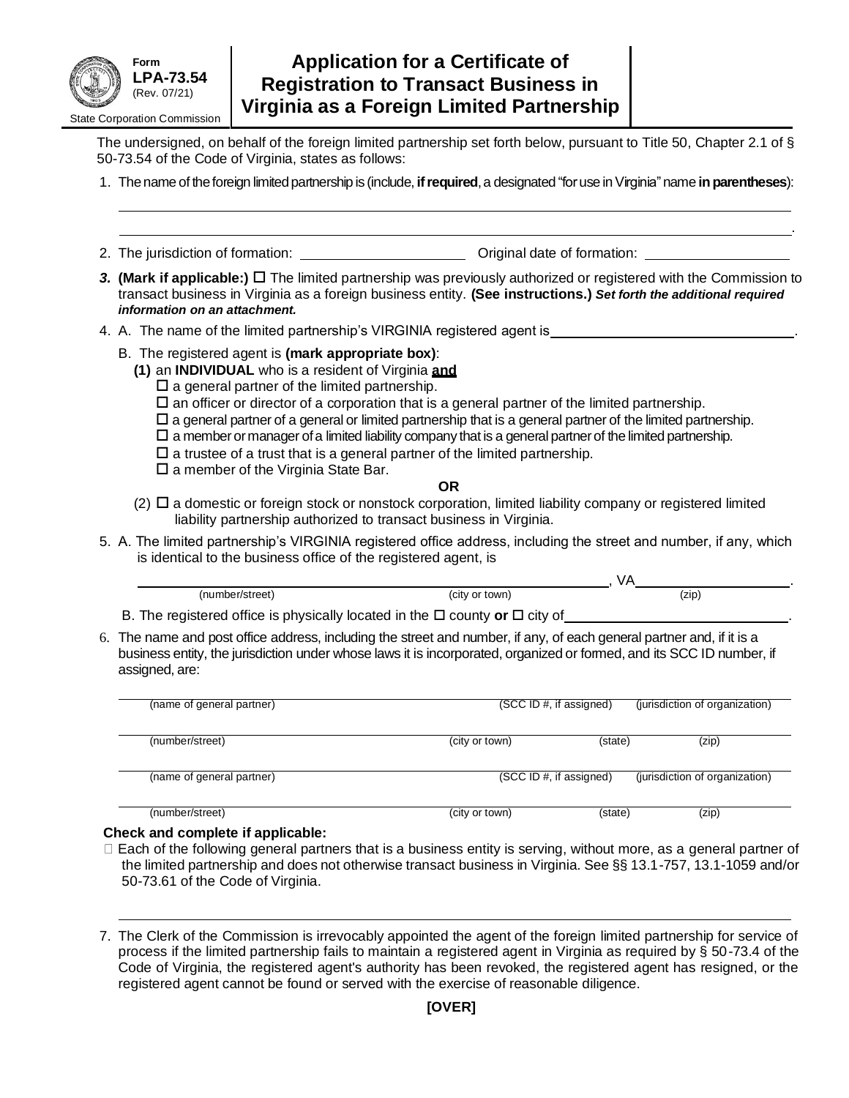

# **Application for a Certificate of Registration to Transact Business in Virginia as a Foreign Limited Partnership**

The undersigned, on behalf of the foreign limited partnership set forth below, pursuant to Title 50, Chapter 2.1 of § 50-73.54 of the Code of Virginia, states as follows:

1. Thename of theforeign limitedpartnership is (include, **ifrequired**,a designated "foruse inVirginia"name **inparentheses**):

.

- 2. The jurisdiction of formation: Original date of formation:
- **3. (Mark if applicable:)** □ The limited partnership was previously authorized or registered with the Commission to transact business in Virginia as a foreign business entity. **(See instructions.)** *Set forth the additional required information on an attachment.*
- 4. A. The name of the limited partnership's VIRGINIA registered agent is \_\_\_
	- B. The registered agent is **(mark appropriate box)**:
		- **(1)** an **INDIVIDUAL** who is a resident of Virginia **and**
			- $\square$  a general partner of the limited partnership.
			- $\square$  an officer or director of a corporation that is a general partner of the limited partnership.
			- $\Box$  a general partner of a general or limited partnership that is a general partner of the limited partnership.
			- $\square$  a member or manager of a limited liability company that is a general partner of the limited partnership.
			- $\square$  a trustee of a trust that is a general partner of the limited partnership.
			- $\square$  a member of the Virginia State Bar.

### **OR**

- $(2)$   $\Box$  a domestic or foreign stock or nonstock corporation, limited liability company or registered limited liability partnership authorized to transact business in Virginia.
- 5. A. The limited partnership's VIRGINIA registered office address, including the street and number, if any, which is identical to the business office of the registered agent, is

| (number/street)                                                                                                           | (city or town) | (ZID) |  |
|---------------------------------------------------------------------------------------------------------------------------|----------------|-------|--|
| $\blacksquare$ . The construction of the contract of the formation to the film and an internal $\blacksquare$ . We define |                |       |  |

- B. The registered office is physically located in the  $\Box$  county or  $\Box$  city of
- 6. The name and post office address, including the street and number, if any, of each general partner and, if it is a business entity, the jurisdiction under whose laws it is incorporated, organized or formed, and its SCC ID number, if assigned, are:

| (SCC ID #, if assigned) |         | (jurisdiction of organization) |  |
|-------------------------|---------|--------------------------------|--|
| (city or town)          | (state) | (zip)                          |  |
|                         |         | (jurisdiction of organization) |  |
| (city or town)          | (state) | (zip)                          |  |
|                         |         | (SCC ID #, if assigned)        |  |

### **Check and complete if applicable:**

- $\Box$  Each of the following general partners that is a business entity is serving, without more, as a general partner of the limited partnership and does not otherwise transact business in Virginia. See §§ 13.1-757, 13.1-1059 and/or 50-73.61 of the Code of Virginia.
- 7. The Clerk of the Commission is irrevocably appointed the agent of the foreign limited partnership for service of process if the limited partnership fails to maintain a registered agent in Virginia as required by § 50-73.4 of the Code of Virginia, the registered agent's authority has been revoked, the registered agent has resigned, or the registered agent cannot be found or served with the exercise of reasonable diligence.